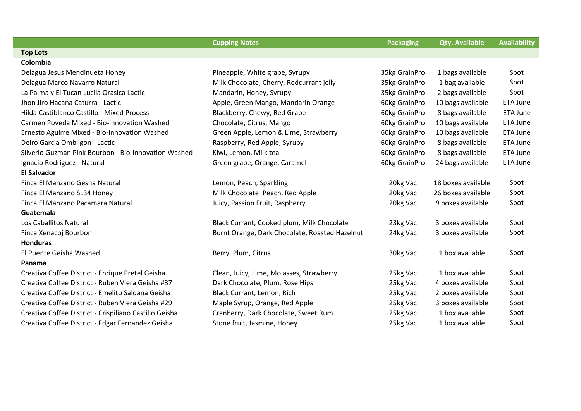|                                                        | <b>Cupping Notes</b>                           | <b>Packaging</b> | <b>Qty. Available</b> | <b>Availability</b> |
|--------------------------------------------------------|------------------------------------------------|------------------|-----------------------|---------------------|
| <b>Top Lots</b>                                        |                                                |                  |                       |                     |
| Colombia                                               |                                                |                  |                       |                     |
| Delagua Jesus Mendinueta Honey                         | Pineapple, White grape, Syrupy                 | 35kg GrainPro    | 1 bags available      | Spot                |
| Delagua Marco Navarro Natural                          | Milk Chocolate, Cherry, Redcurrant jelly       | 35kg GrainPro    | 1 bag available       | Spot                |
| La Palma y El Tucan Lucila Orasica Lactic              | Mandarin, Honey, Syrupy                        | 35kg GrainPro    | 2 bags available      | Spot                |
| Jhon Jiro Hacana Caturra - Lactic                      | Apple, Green Mango, Mandarin Orange            | 60kg GrainPro    | 10 bags available     | ETA June            |
| Hilda Castiblanco Castillo - Mixed Process             | Blackberry, Chewy, Red Grape                   | 60kg GrainPro    | 8 bags available      | ETA June            |
| Carmen Poveda Mixed - Bio-Innovation Washed            | Chocolate, Citrus, Mango                       | 60kg GrainPro    | 10 bags available     | ETA June            |
| Ernesto Aguirre Mixed - Bio-Innovation Washed          | Green Apple, Lemon & Lime, Strawberry          | 60kg GrainPro    | 10 bags available     | <b>ETA June</b>     |
| Deiro Garcia Ombligon - Lactic                         | Raspberry, Red Apple, Syrupy                   | 60kg GrainPro    | 8 bags available      | ETA June            |
| Silverio Guzman Pink Bourbon - Bio-Innovation Washed   | Kiwi, Lemon, Milk tea                          | 60kg GrainPro    | 8 bags available      | ETA June            |
| Ignacio Rodriguez - Natural                            | Green grape, Orange, Caramel                   | 60kg GrainPro    | 24 bags available     | ETA June            |
| <b>El Salvador</b>                                     |                                                |                  |                       |                     |
| Finca El Manzano Gesha Natural                         | Lemon, Peach, Sparkling                        | 20kg Vac         | 18 boxes available    | Spot                |
| Finca El Manzano SL34 Honey                            | Milk Chocolate, Peach, Red Apple               | 20kg Vac         | 26 boxes available    | Spot                |
| Finca El Manzano Pacamara Natural                      | Juicy, Passion Fruit, Raspberry                | 20kg Vac         | 9 boxes available     | Spot                |
| Guatemala                                              |                                                |                  |                       |                     |
| Los Caballitos Natural                                 | Black Currant, Cooked plum, Milk Chocolate     | 23kg Vac         | 3 boxes available     | Spot                |
| Finca Xenacoj Bourbon                                  | Burnt Orange, Dark Chocolate, Roasted Hazelnut | 24kg Vac         | 3 boxes available     | Spot                |
| <b>Honduras</b>                                        |                                                |                  |                       |                     |
| El Puente Geisha Washed                                | Berry, Plum, Citrus                            | 30kg Vac         | 1 box available       | Spot                |
| Panama                                                 |                                                |                  |                       |                     |
| Creativa Coffee District - Enrique Pretel Geisha       | Clean, Juicy, Lime, Molasses, Strawberry       | 25kg Vac         | 1 box available       | Spot                |
| Creativa Coffee District - Ruben Viera Geisha #37      | Dark Chocolate, Plum, Rose Hips                | 25kg Vac         | 4 boxes available     | Spot                |
| Creativa Coffee District - Emelito Saldana Geisha      | Black Currant, Lemon, Rich                     | 25kg Vac         | 2 boxes available     | Spot                |
| Creativa Coffee District - Ruben Viera Geisha #29      | Maple Syrup, Orange, Red Apple                 | 25kg Vac         | 3 boxes available     | Spot                |
| Creativa Coffee District - Crispiliano Castillo Geisha | Cranberry, Dark Chocolate, Sweet Rum           | 25kg Vac         | 1 box available       | Spot                |
| Creativa Coffee District - Edgar Fernandez Geisha      | Stone fruit, Jasmine, Honey                    | 25kg Vac         | 1 box available       | Spot                |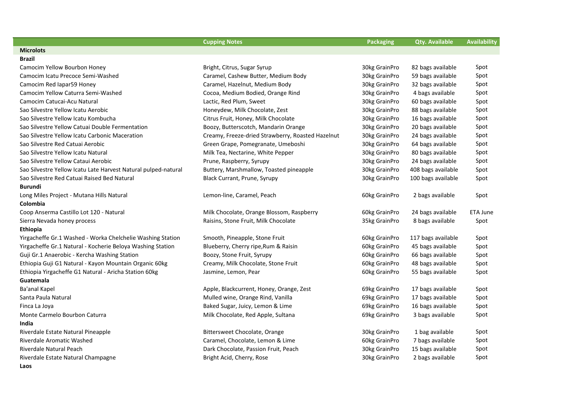|                                                                | <b>Cupping Notes</b>                              | Packaging     | <b>Qty. Available</b> | <b>Availability</b> |
|----------------------------------------------------------------|---------------------------------------------------|---------------|-----------------------|---------------------|
| <b>Microlots</b>                                               |                                                   |               |                       |                     |
| Brazil                                                         |                                                   |               |                       |                     |
| Camocim Yellow Bourbon Honey                                   | Bright, Citrus, Sugar Syrup                       | 30kg GrainPro | 82 bags available     | Spot                |
| Camocim Icatu Precoce Semi-Washed                              | Caramel, Cashew Butter, Medium Body               | 30kg GrainPro | 59 bags available     | Spot                |
| Camocim Red Iapar59 Honey                                      | Caramel, Hazelnut, Medium Body                    | 30kg GrainPro | 32 bags available     | Spot                |
| Camocim Yellow Caturra Semi-Washed                             | Cocoa, Medium Bodied, Orange Rind                 | 30kg GrainPro | 4 bags available      | Spot                |
| Camocim Catucai-Acu Natural                                    | Lactic, Red Plum, Sweet                           | 30kg GrainPro | 60 bags available     | Spot                |
| Sao Silvestre Yellow Icatu Aerobic                             | Honeydew, Milk Chocolate, Zest                    | 30kg GrainPro | 88 bags available     | Spot                |
| Sao Silvestre Yellow Icatu Kombucha                            | Citrus Fruit, Honey, Milk Chocolate               | 30kg GrainPro | 16 bags available     | Spot                |
| Sao Silvestre Yellow Catuai Double Fermentation                | Boozy, Butterscotch, Mandarin Orange              | 30kg GrainPro | 20 bags available     | Spot                |
| Sao Silvestre Yellow Icatu Carbonic Maceration                 | Creamy, Freeze-dried Strawberry, Roasted Hazelnut | 30kg GrainPro | 24 bags available     | Spot                |
| Sao Silvestre Red Catuai Aerobic                               | Green Grape, Pomegranate, Umeboshi                | 30kg GrainPro | 64 bags available     | Spot                |
| Sao Silvestre Yellow Icatu Natural                             | Milk Tea, Nectarine, White Pepper                 | 30kg GrainPro | 80 bags available     | Spot                |
| Sao Silvestre Yellow Cataui Aerobic                            | Prune, Raspberry, Syrupy                          | 30kg GrainPro | 24 bags available     | Spot                |
| Sao Silvestre Yellow Icatu Late Harvest Natural pulped-natural | Buttery, Marshmallow, Toasted pineapple           | 30kg GrainPro | 408 bags available    | Spot                |
| Sao Silvestre Red Catuai Raised Bed Natural                    | Black Currant, Prune, Syrupy                      | 30kg GrainPro | 100 bags available    | Spot                |
| Burundi                                                        |                                                   |               |                       |                     |
| Long Miles Project - Mutana Hills Natural                      | Lemon-line, Caramel, Peach                        | 60kg GrainPro | 2 bags available      | Spot                |
| Colombia                                                       |                                                   |               |                       |                     |
| Coop Anserma Castillo Lot 120 - Natural                        | Milk Chocolate, Orange Blossom, Raspberry         | 60kg GrainPro | 24 bags available     | ETA June            |
| Sierra Nevada honey process                                    | Raisins, Stone Fruit, Milk Chocolate              | 35kg GrainPro | 8 bags available      | Spot                |
| Ethiopia                                                       |                                                   |               |                       |                     |
| Yirgacheffe Gr.1 Washed - Worka Chelchelie Washing Station     | Smooth, Pineapple, Stone Fruit                    | 60kg GrainPro | 117 bags available    | Spot                |
| Yirgacheffe Gr.1 Natural - Kocherie Beloya Washing Station     | Blueberry, Cherry ripe, Rum & Raisin              | 60kg GrainPro | 45 bags available     | Spot                |
| Guji Gr.1 Anaerobic - Kercha Washing Station                   | Boozy, Stone Fruit, Syrupy                        | 60kg GrainPro | 66 bags available     | Spot                |
| Ethiopia Guji G1 Natural - Kayon Mountain Organic 60kg         | Creamy, Milk Chocolate, Stone Fruit               | 60kg GrainPro | 48 bags available     | Spot                |
| Ethiopia Yirgacheffe G1 Natural - Aricha Station 60kg          | Jasmine, Lemon, Pear                              | 60kg GrainPro | 55 bags available     | Spot                |
| Guatemala                                                      |                                                   |               |                       |                     |
| Ba'anal Kapel                                                  | Apple, Blackcurrent, Honey, Orange, Zest          | 69kg GrainPro | 17 bags available     | Spot                |
| Santa Paula Natural                                            | Mulled wine, Orange Rind, Vanilla                 | 69kg GrainPro | 17 bags available     | Spot                |
| Finca La Joya                                                  | Baked Sugar, Juicy, Lemon & Lime                  | 69kg GrainPro | 16 bags available     | Spot                |
| Monte Carmelo Bourbon Caturra                                  | Milk Chocolate, Red Apple, Sultana                | 69kg GrainPro | 3 bags available      | Spot                |
| India                                                          |                                                   |               |                       |                     |
| Riverdale Estate Natural Pineapple                             | Bittersweet Chocolate, Orange                     | 30kg GrainPro | 1 bag available       | Spot                |
| Riverdale Aromatic Washed                                      | Caramel, Chocolate, Lemon & Lime                  | 60kg GrainPro | 7 bags available      | Spot                |
| Riverdale Natural Peach                                        | Dark Chocolate, Passion Fruit, Peach              | 30kg GrainPro | 15 bags available     | Spot                |
| Riverdale Estate Natural Champagne                             | Bright Acid, Cherry, Rose                         | 30kg GrainPro | 2 bags available      | Spot                |
| Laos                                                           |                                                   |               |                       |                     |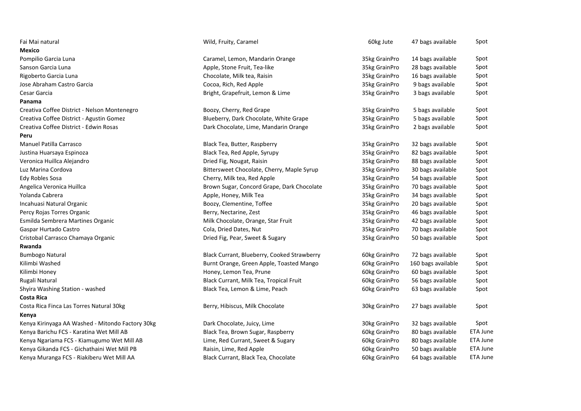| Fai Mai natural                                  | Wild, Fruity, Caramel                       | 60kg Jute     | 47 bags available  | Spot            |
|--------------------------------------------------|---------------------------------------------|---------------|--------------------|-----------------|
| Mexico                                           |                                             |               |                    |                 |
| Pompilio Garcia Luna                             | Caramel, Lemon, Mandarin Orange             | 35kg GrainPro | 14 bags available  | Spot            |
| Sanson Garcia Luna                               | Apple, Stone Fruit, Tea-like                | 35kg GrainPro | 28 bags available  | Spot            |
| Rigoberto Garcia Luna                            | Chocolate, Milk tea, Raisin                 | 35kg GrainPro | 16 bags available  | Spot            |
| Jose Abraham Castro Garcia                       | Cocoa, Rich, Red Apple                      | 35kg GrainPro | 9 bags available   | Spot            |
| Cesar Garcia                                     | Bright, Grapefruit, Lemon & Lime            | 35kg GrainPro | 3 bags available   | Spot            |
| Panama                                           |                                             |               |                    |                 |
| Creativa Coffee District - Nelson Montenegro     | Boozy, Cherry, Red Grape                    | 35kg GrainPro | 5 bags available   | Spot            |
| Creativa Coffee District - Agustin Gomez         | Blueberry, Dark Chocolate, White Grape      | 35kg GrainPro | 5 bags available   | Spot            |
| Creativa Coffee District - Edwin Rosas           | Dark Chocolate, Lime, Mandarin Orange       | 35kg GrainPro | 2 bags available   | Spot            |
| Peru                                             |                                             |               |                    |                 |
| Manuel Patilla Carrasco                          | Black Tea, Butter, Raspberry                | 35kg GrainPro | 32 bags available  | Spot            |
| Justina Huarsaya Espinoza                        | Black Tea, Red Apple, Syrupy                | 35kg GrainPro | 82 bags available  | Spot            |
| Veronica Huillca Alejandro                       | Dried Fig, Nougat, Raisin                   | 35kg GrainPro | 88 bags available  | Spot            |
| Luz Marina Cordova                               | Bittersweet Chocolate, Cherry, Maple Syrup  | 35kg GrainPro | 30 bags available  | Spot            |
| Edy Robles Sosa                                  | Cherry, Milk tea, Red Apple                 | 35kg GrainPro | 54 bags available  | Spot            |
| Angelica Veronica Huillca                        | Brown Sugar, Concord Grape, Dark Chocolate  | 35kg GrainPro | 70 bags available  | Spot            |
| Yolanda Cabrera                                  | Apple, Honey, Milk Tea                      | 35kg GrainPro | 34 bags available  | Spot            |
| Incahuasi Natural Organic                        | Boozy, Clementine, Toffee                   | 35kg GrainPro | 20 bags available  | Spot            |
| Percy Rojas Torres Organic                       | Berry, Nectarine, Zest                      | 35kg GrainPro | 46 bags available  | Spot            |
| Esmilda Sembrera Martines Organic                | Milk Chocolate, Orange, Star Fruit          | 35kg GrainPro | 42 bags available  | Spot            |
| Gaspar Hurtado Castro                            | Cola, Dried Dates, Nut                      | 35kg GrainPro | 70 bags available  | Spot            |
| Cristobal Carrasco Chamaya Organic               | Dried Fig, Pear, Sweet & Sugary             | 35kg GrainPro | 50 bags available  | Spot            |
| Rwanda                                           |                                             |               |                    |                 |
| <b>Bumbogo Natural</b>                           | Black Currant, Blueberry, Cooked Strawberry | 60kg GrainPro | 72 bags available  | Spot            |
| Kilimbi Washed                                   | Burnt Orange, Green Apple, Toasted Mango    | 60kg GrainPro | 160 bags available | Spot            |
| Kilimbi Honey                                    | Honey, Lemon Tea, Prune                     | 60kg GrainPro | 60 bags available  | Spot            |
| Rugali Natural                                   | Black Currant, Milk Tea, Tropical Fruit     | 60kg GrainPro | 56 bags available  | Spot            |
| Shyira Washing Station - washed                  | Black Tea, Lemon & Lime, Peach              | 60kg GrainPro | 63 bags available  | Spot            |
| <b>Costa Rica</b>                                |                                             |               |                    |                 |
| Costa Rica Finca Las Torres Natural 30kg         | Berry, Hibiscus, Milk Chocolate             | 30kg GrainPro | 27 bags available  | Spot            |
| Kenya                                            |                                             |               |                    |                 |
| Kenya Kirinyaga AA Washed - Mitondo Factory 30kg | Dark Chocolate, Juicy, Lime                 | 30kg GrainPro | 32 bags available  | Spot            |
| Kenya Barichu FCS - Karatina Wet Mill AB         | Black Tea, Brown Sugar, Raspberry           | 60kg GrainPro | 80 bags available  | <b>ETA June</b> |
| Kenya Ngariama FCS - Kiamugumo Wet Mill AB       | Lime, Red Currant, Sweet & Sugary           | 60kg GrainPro | 80 bags available  | <b>ETA June</b> |
| Kenya Gikanda FCS - Gichathaini Wet Mill PB      | Raisin, Lime, Red Apple                     | 60kg GrainPro | 50 bags available  | <b>ETA June</b> |
| Kenya Muranga FCS - Riakiberu Wet Mill AA        | Black Currant, Black Tea, Chocolate         | 60kg GrainPro | 64 bags available  | ETA June        |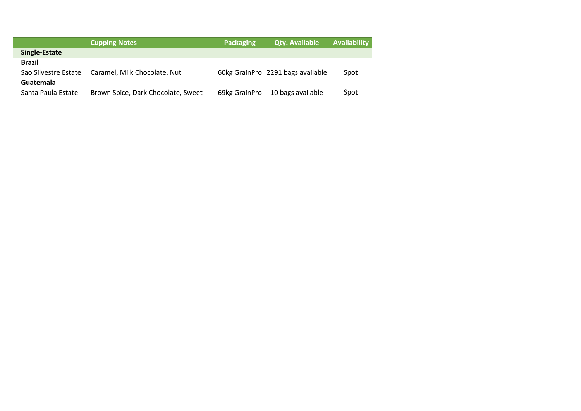|                      | <b>Cupping Notes</b>               | <b>Packaging</b> | <b>Qty. Available</b>             | <b>Availability</b> |
|----------------------|------------------------------------|------------------|-----------------------------------|---------------------|
| Single-Estate        |                                    |                  |                                   |                     |
| <b>Brazil</b>        |                                    |                  |                                   |                     |
| Sao Silvestre Estate | Caramel, Milk Chocolate, Nut       |                  | 60kg GrainPro 2291 bags available | Spot                |
| <b>Guatemala</b>     |                                    |                  |                                   |                     |
| Santa Paula Estate   | Brown Spice, Dark Chocolate, Sweet | 69kg GrainPro    | 10 bags available                 | Spot                |

 $\overline{\phantom{a}}$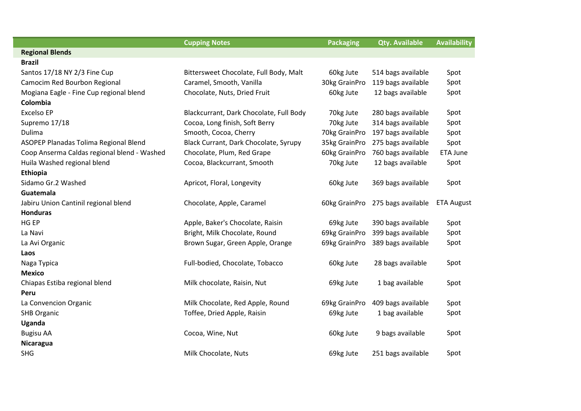|                                             | <b>Cupping Notes</b>                    | <b>Packaging</b> | <b>Qty. Available</b>            | <b>Availability</b> |
|---------------------------------------------|-----------------------------------------|------------------|----------------------------------|---------------------|
| <b>Regional Blends</b>                      |                                         |                  |                                  |                     |
| <b>Brazil</b>                               |                                         |                  |                                  |                     |
| Santos 17/18 NY 2/3 Fine Cup                | Bittersweet Chocolate, Full Body, Malt  | 60kg Jute        | 514 bags available               | Spot                |
| Camocim Red Bourbon Regional                | Caramel, Smooth, Vanilla                | 30kg GrainPro    | 119 bags available               | Spot                |
| Mogiana Eagle - Fine Cup regional blend     | Chocolate, Nuts, Dried Fruit            | 60kg Jute        | 12 bags available                | Spot                |
| Colombia                                    |                                         |                  |                                  |                     |
| <b>Excelso EP</b>                           | Blackcurrant, Dark Chocolate, Full Body | 70kg Jute        | 280 bags available               | Spot                |
| Supremo 17/18                               | Cocoa, Long finish, Soft Berry          | 70kg Jute        | 314 bags available               | Spot                |
| Dulima                                      | Smooth, Cocoa, Cherry                   | 70kg GrainPro    | 197 bags available               | Spot                |
| ASOPEP Planadas Tolima Regional Blend       | Black Currant, Dark Chocolate, Syrupy   | 35kg GrainPro    | 275 bags available               | Spot                |
| Coop Anserma Caldas regional blend - Washed | Chocolate, Plum, Red Grape              | 60kg GrainPro    | 760 bags available               | <b>ETA June</b>     |
| Huila Washed regional blend                 | Cocoa, Blackcurrant, Smooth             | 70kg Jute        | 12 bags available                | Spot                |
| Ethiopia                                    |                                         |                  |                                  |                     |
| Sidamo Gr.2 Washed                          | Apricot, Floral, Longevity              | 60kg Jute        | 369 bags available               | Spot                |
| Guatemala                                   |                                         |                  |                                  |                     |
| Jabiru Union Cantinil regional blend        | Chocolate, Apple, Caramel               |                  | 60kg GrainPro 275 bags available | <b>ETA August</b>   |
| <b>Honduras</b>                             |                                         |                  |                                  |                     |
| HG EP                                       | Apple, Baker's Chocolate, Raisin        | 69kg Jute        | 390 bags available               | Spot                |
| La Navi                                     | Bright, Milk Chocolate, Round           | 69kg GrainPro    | 399 bags available               | Spot                |
| La Avi Organic                              | Brown Sugar, Green Apple, Orange        | 69kg GrainPro    | 389 bags available               | Spot                |
| Laos                                        |                                         |                  |                                  |                     |
| Naga Typica                                 | Full-bodied, Chocolate, Tobacco         | 60kg Jute        | 28 bags available                | Spot                |
| <b>Mexico</b>                               |                                         |                  |                                  |                     |
| Chiapas Estiba regional blend               | Milk chocolate, Raisin, Nut             | 69kg Jute        | 1 bag available                  | Spot                |
| Peru                                        |                                         |                  |                                  |                     |
| La Convencion Organic                       | Milk Chocolate, Red Apple, Round        | 69kg GrainPro    | 409 bags available               | Spot                |
| <b>SHB Organic</b>                          | Toffee, Dried Apple, Raisin             | 69kg Jute        | 1 bag available                  | Spot                |
| Uganda                                      |                                         |                  |                                  |                     |
| <b>Bugisu AA</b>                            | Cocoa, Wine, Nut                        | 60kg Jute        | 9 bags available                 | Spot                |
| Nicaragua                                   |                                         |                  |                                  |                     |
| <b>SHG</b>                                  | Milk Chocolate, Nuts                    | 69kg Jute        | 251 bags available               | Spot                |
|                                             |                                         |                  |                                  |                     |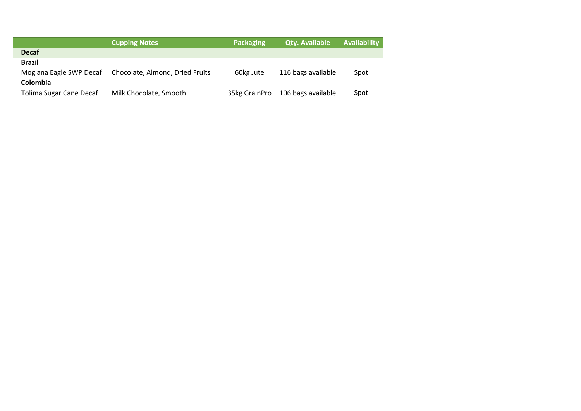|                         | <b>Cupping Notes</b>            | <b>Packaging</b> | <b>Qty. Available</b> | <b>Availability</b> |
|-------------------------|---------------------------------|------------------|-----------------------|---------------------|
| <b>Decaf</b>            |                                 |                  |                       |                     |
| <b>Brazil</b>           |                                 |                  |                       |                     |
| Mogiana Eagle SWP Decaf | Chocolate, Almond, Dried Fruits | 60kg Jute        | 116 bags available    | Spot                |
| Colombia                |                                 |                  |                       |                     |
| Tolima Sugar Cane Decaf | Milk Chocolate, Smooth          | 35kg GrainPro    | 106 bags available    | Spot                |